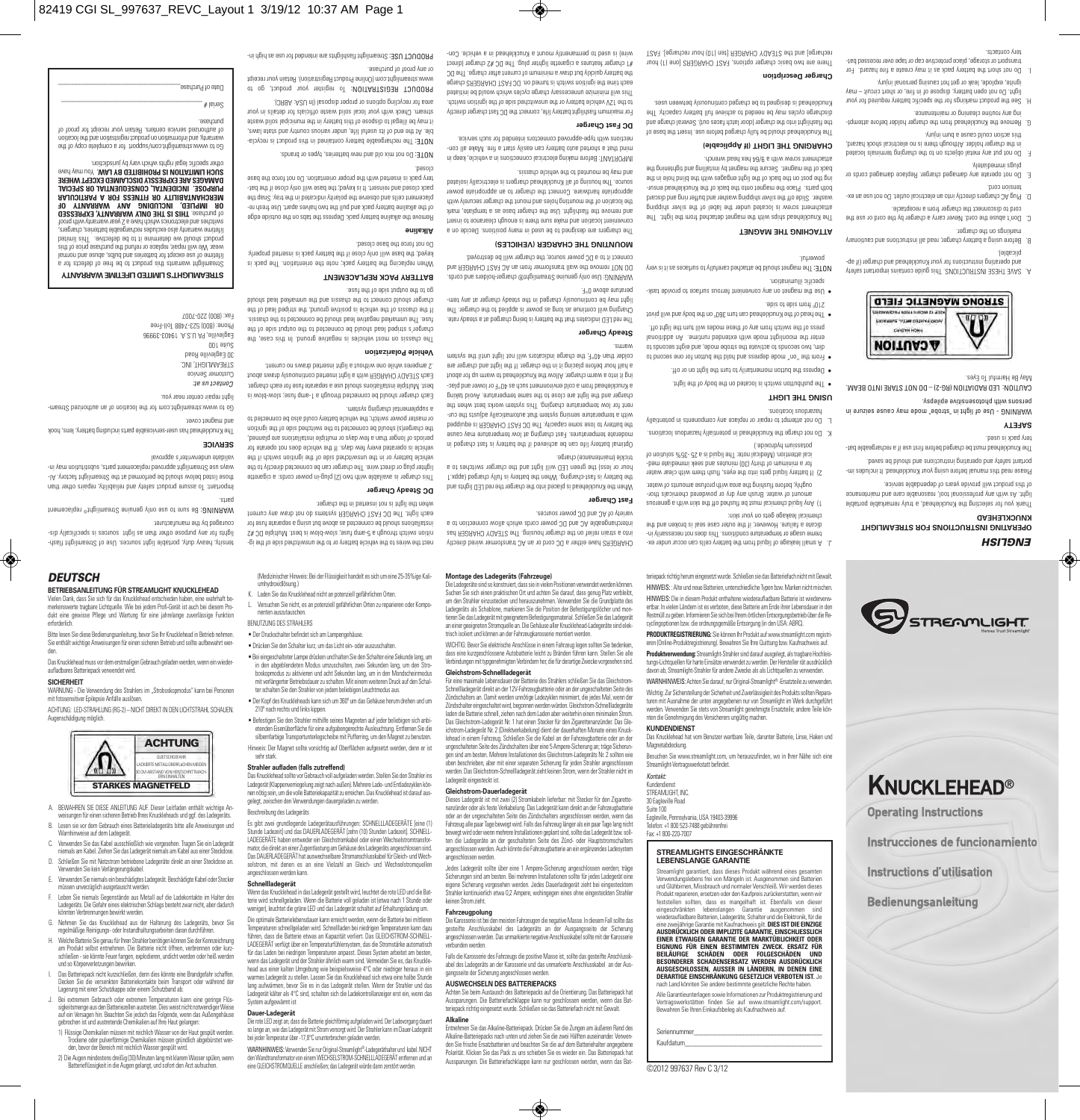purchase.

.<br>Date of Purchase Catalog

wire) is need to beaugueum a knucklehead in a vehicle. Con-

or any proof of purchase. PRODUCT USE: Streamlight fiabilidash and intended for use as high in-

stream. Check with your local solid waste officials for details in your area for recycling options or proper disposal (In USA: ABRC). PRODUCT REGISTRATION: To register your product, go to www.streamlight.com (Online Product Registration). Retain your receipt

Do not mix old and new batteries, types or brands. NOTE: The rechargeable battery contained in the reception of the recycla- NOTE: The recycla- No contains a small contained in the reception of the reception of the reception of the reception of the reception of the reception of ble. At the end of its useful life, under various country and state laws, it illegal to dispose of the may be in the municipal solid was a solid was a solid was the municipal solid was<br>presented was the municipal solid was the municipal solid was the municipal was the municipal solid was the mun

Remove the alkaline battery pack. Depress the tabs on the outside edge of the alkaline battery pack and plul the two halves the team teplacement cells and observe the polarity indicated in the tray. Snap the pack closed and reinsert. It is keyed; the base will only close if the battery pack is inserted with the broker orientation. Do not force the base closed.

> Do not force the base closed. **Alkaline**

**BATTERY PACK REPLACEMENT** When replacing the battery pack; note the orientation. The pack is keyed; the base will only close if the battery pack is inserted properly.

# gon ain in anis inding ain of go

The chassis on most vehicles is negative ground. In this case, the charger is striped in the output side to the output side of the output side of the output side of the output side of the output side of the output side of the output side of the output side of the output side of the output fuse. The unmarked negative lead should be connected to the chassis. If the chassis of the vehicle is positive ground, the striped lead of the custion connect to the custos and the unmarked lead should

### **Vehicle Polarization**

Each charger should be connected through a 1-amp fuse; slow-blow is best. Multiple installations should use a separate fuse for each charger. Eacu STEADY CHARGER WILL BUT INSERT FOR DRAWS SDONE IN .2 amperes while one without a light inserted draws no current.

This charger is available with two models with the cords: a cigarette with the cords: a cigarette cords: a ciga<br>This cords: a cigarette with two cords: a cigarette with two cords: a cigarette with two cords: a cigarette co lighter plug or direct wire. The charger can be connected directly to the vehicle battery or in the muzikation side of the ignition switch it the vehicle is operated every few days. If the vehicle does not operate for periods of longer than a few days or multiple installations are planned, the charger should be counsely should be should be ignition to the idning the idning to the ignition or master power switch; the vehicle battery could also be connected to a supplemental charging system.

# **DC Steady Charger**

nect the wires to the wires to the wires to the unswitched side of the unswitched side of the unswitched side o nition switch through a 5-amp fuse; slow-blow is best. Multiple DC #2 ind seul stangies a gnieu fud evoda as befoemoo ed bluoris znotifalistani each light. The DC FAST CHARGER systems do not draw any content when the light is not inserted in the charger.

e Betestigen Sie den Strahler mithilte seines Magneten auf jeder beliebigen sich anbi-<br>etenden Eisenüberfläche für eine aufgabengerechte Ausleuchtung. Entfernen Sie die<br>silbernfarbige Transportunterlegscheibe mit Pufferrin Hinweis: Der Magnet sollte vorsichtig auf Oberflächen aufgesetzt werden, denn er ist

Das Knucklehead sollte vor Gebrauch voll aufgeladen werden. Stellen Sie den Strahler ins Ladegerät (Klappenverriegelung zeigt nach außen). Mehrere Lade- und Entladezyklen können nötig sein, um die volle Batteriekapazität zu erreichen. Das Knucklehead ist darauf ausgelegt, zwischen den Verwendungen dauergeladen zu werden.

Es gibt zwei grundlegende Ladegerätausführungen: SCHNELLLADEGERÄTE [eine (1) Stunde Ladezeit) und das DAUEHLADEGERAT (zehn (10) Stunden Ladezeit), SCHNELL-<br>LADEGERÄTE haben entweder ein Gleichstromkabel oder einen Wechselstromtransfor-<br>mator, die direkt an einer Zugentfastung am Gehäuse des Ladeger selstrom, mit denen es an eine Vielzahl an Gleich- und Wechselstromquellen

Die rote LED zeigt an, dass die Batterie gleichförmig aufgeladen wird. Der Ladevorgang dauert<br>so lange an, wie das Ladegerät mit Strom versorgt wird. Der Strahler kann im Dauer-Ladegerät<br>bei jeder Temperatur über -17,8°C u WARNHINWEIS: Verwenden Sie nur Original-Streamlight®-Ladegeräthalter und kabel. NICHT<br>den Wandtransformator von einem WECHSELSTROM-SCHNELLLADEGERÄT entfernen und an<br>eine GLEICHSTROMOUELLE anschließen; das Ladegerät würde

Wenn das Knucklehead in das Ladegerät gestellt wird, leuchtet die rote LED und die Batterie wird schnellgeladen. Wenn die Batterie voll geladen ist (etwa nach 1 Stunde oder<br>weniger), leuchtet die grüne LED und das Ladegerät schaltet auf Erhaltungsladung um. Die optimale Batterielebensdauer kann erreicht werden, wenn die Batterie bei mittleren Temperaturen schnellgeladen wird. Schnellladen bei niedrigen Temperaturen kann dazu führen, dass die Batterie etwas an Kapazität verliert. Das GLEICHSTROM-SCHNELL-<br>LADEGERÄT verfügt über ein Temperaturfühlersystem, das die Stromstärke automatisch<br>für das Laden bei niedrigen Temperaturen anpasst. Dieses Sy wenn das Ladegerät und der Strahler ähnlich warm sind. Vermeiden Sie es, das Knucklehead aus einer kalten Umgebung wie beispielsweise 4°C oder niedriger heraus in ein warmes Ladegerät zu stellen. Lassen Sie das Knucklehead sich etwa eine halbe Stunde lang aufwärmen, bevor Sie es in das Ladegerät stellen. Wenn der Strahler und das Ladegerät kälter als 4°C sind, schalten sich die Ladekontrollanzeiger erst ein, wenn das

K. Laden Sie das Knucklehead nicht an potenziell gefährlichen Orten. L. Versuchen Sie nicht, es an potenziell gefährlichen Orten zu reparieren oder Kompo-

umhydroxidlösung.)

nenten auszutauschen. BENUTZUNG DES STRAHLERS • Der Druckschalter befindet sich am Lampengehäuse. • Drücken Sie den Schalter kurz, um das Licht ein- oder auszuschalten. • Bei eingeschalteter Lampe drücken und halten Sie den Schalter eine Sekunde lang, um in den abgeblendeten Modus umzuschalten, zwei Sekunden lang, um den Stroboskopmodus zu aktivieren und acht Sekunden lang, um in den Mondsche mit verlängerter Betriebsdauer zu schalten. Mit einem weiteren Druck auf den Schal-ter schalten Sie den Strahler von jedem beliebigen Leuchtmodus aus. • Der Kopf des Knuckleheads kann sich um 360º um das Gehäuse herum drehen und um

210º nach rechts und links kippen.

**Strahler aufladen (falls zutreffend)**

sehr stark.

Beschreibung des Ladegeräts

angeschlossen werden kann. **Schnellladegerät**

System aufgewärmt ist **Dauer-Ladegerät**

# *DEUTSCH*

## **BETRIEBSANLEITUNG FÜR STREAMLIGHT KNUCKLEHEAD**

Vielen Dank, dass Sie sich für das Knucklehead entschieden haben, eine wahrhaft be-merkenswerte tragbare Lichtquelle. Wie bei jedem Profi-Gerät ist auch bei diesem Produkt eine gewisse Pflege und Wartung für eine jahrelange zuverlässige Funktion

tensity, heavy duty, portable light sources. Use of Streamlight flashlights for any purpose other than as light sources is specifically dis-

Be sure to use only denime Streamlight<sup>®</sup> replacement

Important: To assure buonder safety and reliability and repairs on the user those listed below should be performed at the Streamlight factory. Always use Streamlight approved replacement parts, substitution may in-

The Knucklehead has user-serviceable parts including battery, lens, hook

Go to www.streamlight.com for the location of an authorized Stream-

couraged by the manufacturer.

validate underwriter's approval **SERVICE**

and magnet cover.

light repair center near you. *Contact us at:* Customer Service STREAMLIGHT, INC. 30 Eagleville Road Suite 100

Eagleville, PA U.S.A. 19403-39996 Phone: (800) 523-7488 Toll-Free Fax: (800) 220-7007

parts.

**STREAMLIGHT'S LIMITED LIFETIME WARRANTY** Streamlight warrants this product to be free of defects for a lifetime of use except for batteries and bulbs, abuse and normal wear. We will repair or replace or repair of the price of the price of the price of the product should te be d<br>parimil sidT … switceteb ed ot ti enimeteb sw bluods touborg lifetime warranty also excludes rechargeable batteries, chargers, switches and electronics which have a 2 year warranty with proof **THIS IS THE ONLY WARRANTY, EXPRESSED OR IMPLIED, INCLUDING ANY WARRANTY OF MERCHANTABILITY OR FITNESS FOR A PARTICULAR PURPOSE. INCIDENTAL, CONSEQUENTIAL OR SPECIAL DAMAGES ARE EXPRESSLY DISCLAIMED EXCEPT WHERE YOU MAY HAVE THE READER OF A SUCH LIMITATION IS PROHIBITED BY LAW.** You may have other specific legal rights which vary by jurisdiction. ertt to yqoo etelqmoo is tot "hoqque\moo.trigilmiserte.www ot oi.)<br>noitisool ertt bnis noitistratigen touborg no noitismrotni bnis ,vtriismisw of authorized service centers. Retain your receipt for proof of

 $\#$  |PIJ $\Theta$  $S$ 

erforderlich.<br>Bitte lesen Sie diese Bedienungsanleitung, bevor Sie Ihr Knucklehead in Betrieb nehmen.<br>Sie enthält wichtige Anweisungen für einen sicheren Betrieb und sollte aufbewahrt werden.

Das Knucklehead muss vor dem erstmaligen Gebrauch geladen werden, wenn ein wiederaufladbares Batteriepack verwendet wird.

## **SICHERHEIT**

WARNUNG - Die Verwendung des Strahlers im "Stroboskopmodus" kann bei Personen mit fotosensitiver Epilepsie Anfälle auslösen.

ACHTUNG: LED-STRAHLUNG (RG-2) – NICHT DIREKT IN DEN LICHTSTRAHL SCHAUEN. Augenschädigung möglich.



- A. BEWAHREN SIE DIESE ANLEITUNG AUF. Dieser Leitfaden enthält wichtige Anweisungen für einen sicheren Betrieb Ihres Knuckleheads und ggf. des Ladegeräts. B. Lesen sie vor dem Gebrauch eines Batterieladegeräts bitte alle Anweisungen und
- Warnhinweise auf dem Ladegerät.
- C. Verwenden Sie das Kabel ausschließlich wie vorgesehen. Tragen Sie ein Ladegerät niemals am Kabel. Ziehen Sie das Ladegerät niemals am Kabel aus einer Steckdose.
- D. Schließen Sie mit Netzstrom betriebene Ladegeräte direkt an einer Steckdose an. wenden Sie kein Verlängerungskabel.<br>Verwenden Verlängerungskabel.
- E. Verwenden Sie niemals ein beschädigtes Ladegerät. Beschädigte Kabel oder Stecker müssen unverzüglich ausgetauscht werden.
- F. Leben Sie niemals Gegenstände aus Metall auf die Ladekontakte im Halter des Ladegeräts. Die Gefahr eines elektrischen Schlags besteht zwar nicht, aber dadurch
- könnten Verbrennungen bewirkt werden. G. Nehmen Sie das Knucklehead aus der Halterung des Ladegeräts, bevor Sie regelmäßige Reinigungs- oder Instandhaltungsarbeiten daran durchführen.
- .<br>Hehe Batterie Sie genau für Ihren Strahler benötigen können Sie der Kennzeich am Produkt selbst entnehmen. Die Batterie nicht öffnen, verbrennen oder kurz-schließen - sie könnte Feuer fangen, explodieren, undicht werden oder heiß werden und so Körperverletzungen bewirken.
- I. Das Batteriepack nicht kurzschließen, denn dies könnte eine Brandgefahr schaffen. Decken Sie die versenkten Batteriekontakte beim Transport oder während der Lagerung mit einer Schutzkappe oder einem Schutzband ab.
- J. Bei extremem Gebrauch oder extremen Temperaturen kann eine geringe Flüssigkeitsmenge aus den Batteriezellen austreten. Dies weist nicht notwendiger Weise<br>auf ein Versagen hin. Beachten Sie jedoch das Folgende, wenn das Außengehäuse<br>gebrochen ist und austretende Chemikalien auf Ihre Haut gelan
- .<br>1) Flüssige Chemikalien müssen mit reichlich Wasser von der Haut gespült werden. Trockene oder pulverförmige Chemikalien müssen gründlich abgebürstet werden, bevor der Bereich mit reichlich Wasser gespült wird.
- 2) Die Augen mindestens dreißig (30) Minuten lang mit klarem Wasser spülen, wenn Batterieflüssigkeit in die Augen gelangt, und sofort den Arzt aufsuchen.

## (Medizinischer Hinweis: Bei der Flüssigkeit handelt es sich um eine 25-35%ige Kali-

dass eine kurzgeschlossene Autobatterie leicht zu Bränden führen kann. Stellen Sie alle Verbindungen mit typgenehmigten Verbindern her, die für derartige Zwecke vorgesehen sind.

Schnellladegerät direkt an der 12V-Fahrzeugbatterie oder an der ungeschalteten Seite des<br>Zündschalters an. Damit werden unnötige Ladezyklen minimiert, die jedes Mal, wenn der<br>Zündschalter eingeschaltet wird, begonnen werde laden die Batterie schnell, ziehen nach dem Laden aber weiterhin einen minimalen Strom. Das Gleichstrom-Ladegerät Nr. 1 hat einen Stecker für den Zigarettenanzünder. Das Gle-<br>inhetrom-Ladenerät Nr. 2 (Direktverkehelung) dient der deuerhaften Monate eines Knurk: ichstrom-Ladegerät Nr. 2 (Direktverkabelung) dient der dauerhaften Monate eines Knuck-<br>lehead in einem Fahrzeug. Schileßen Sie die Kabel an der Fahrzeugbatterie oder an der<br>ungeschalteten Seite des Zündschalters über eine oben beschrieben, aber mit einer separaten Sicherung für jeden Strahler angeschlossen werden. Das Gleichstrom-Schnellladegerät zieht keinen Strom, wenn der Strahler nicht im Ladegerät eingesteckt ist.

Dieses Ladegerät ist mit zwei (2) Stromkabeln lieferbar: mit Stecker für den Zigarettenanzünder oder als feste Verkabelung. Das Ladegerät kann direkt an der Fahrzeugbatterie oder an der ungeschalteten Seite des Zündschalters angeschlossen werden, wenn das Fahrzeug alle paar Tage bewegt wird. Falls das Fahrzeug länger als ein paar Tage lang nicht<br>bewegt wird oder wenn mehrere Installationen geplant sind, sollte das Ladegerät bzw. soll-<br>ten die Ladegeräte an der geschalt angeschlossen werden. Auch könnte die Fahrzeugbatterie an ein ergänzendes Ladesystem angeschlossen werden.

Jedes Ladegerät sollte über eine 1 Ampere-Sicherung angeschlossen werden; träge<br>Sicherungen sind am besten. Bei mehreren Installationen sollte für jedes Ladegräft eine<br>eigene Sicherung worgesehen werden. Jedes Dauerladeger

verbunden werden.

abel des Ladegeräts an der Karosserie und das unmarkierte Anschlusskabel an der Ausgangsseite der Sicherung angeschlossen werden.

### **AUSWECHSELN DES BATTERIEPACKS**

Achten Sie beim Austausch des Batteriepacks auf die Orientierung. Das Batteriepack hat<br>Aussparungen. Die Batteriefachklappe kann nur geschlossen werden, wenn das Bat-<br>teriepack richtig eingesetzt wurde. Schließen sie das B

**Alkaline**<br>Entnehmen Sie das Alkaline-Ratterienark, Drürken Sie die Zunnen am äußeren Rand des

For maximum flashlight battery life, connect the DC fast charger directly to the 12 vehicle battery or the 12V vehicle battery or the unit of the unit of the unit of the ignition such t<br>The ignition suite of the ignition suite of the ignition suite of the ignition suite of the ignition suite of This will minimize unnecessary charge cycles which would be initiated egisdo 2R3DRAHO T2A1 00, no bemut si dotive notifingi edt emit doss the battery data the but drawn and the but drawing a more charger ring of the DC. #1 charger features a cigarette lighter plug. The DC #2 charger (direct

### **DC Fast Charger**

IMPORTANT: Before making electrical connections in a vehicle, keep in mind that a shorted and o shorted autors are shorted as a fire. He first a fire start a fire start and connections with type-approved connectors intended for such service.

state in the housing of all Knucklehead chargers is electrically isolated in the housing is electrically in the housing of all  $\alpha$ and be monited to the vehicle chassis.

The chargers are designed to be used in many positions are no are no are no are used in a many positions. convenient location and make sure there is enough clear the insert of the insert of the insert of the insert of the insert of the insert of the insert of the insert of the insert of the insert of the insert of the insert o and remove the flash is the flash in the flash in the flash in the flash in the charger market as a temperatur<br>In the flash is the flash in the flash in the flash in the flash in the flash in the flash in the flash in the the location of the mounting holes and mount the charger securely with appropriate hardware. Connect the charger to appropriate power

## **MOUNTING THE CHARGER (VEHICLES)**

perature above 0°F. wARNING: Use only genuine Streamlight® charger-holders and cords. DO NOT remove the wall transformer transformal and action and connect it to a DC power source; the charger will be destroyed.

**Steady Charger** The red LED indicates that the battery is being charged at a steady rate. Charging will continue as long as power is applied to the charger. The light may be courinned in the steady charged in the steady charge.

warms.

Optimal battery life can be achieved if the battery is fast charged in seuso yem enuteraqmet wol te gnigterlo tes-l .eenuteraqmet eterebom<br>baqqiupe ei A3DAAHO T2AR OO erIT .ytiosqso emoe eeol ot yretted erIt with a temperature sensing system that any spirit and starting and the curertt nerlw teed axhow metaya airT . gnignarlo enutereqmet wol hot then<br>gnixlat biovA .enutereqmet emaa ertt ot eaclo ena trigil ertt bna regnarlo a Knucklehead from a cold environment such as 40°F or lower and placing it into a warm charger. Allow the knucklehead to warm up for about a half hour before placing it in the charger. If the light and charger are colder than 40°F, the charge indicators will not light until the system

## trickle (maintenance) charge.

When the Knucklehead is placed into the charger the red LED lights and the battery is fast-charging is the battery is faster is fully in the battery is fully charged and the battery is fully charged in the battery is fully charged in the battery charged in the battery is an experimented (appx hour or less) the green LED will light and the charger switches to a

## **Fast Charger**

interchangeable AC and DC power cords which allow connection to a variety of AC and DC power sources.

CHARGERS have either a DC cord or an AC transformer wired directly into a strain relief on the charger housing. The STEADY CHARGER has

**Montage des Ladegeräts (Fahrzeuge)** Die Ladegeräte sind so konstruiert, dass sie in vielen Positionen verwendet werden können.<br>Suchen Sie sich einen praktischen Ort und achten Sie darauf, dass genug Platz verbleibt)<br>um den Strahler einzustecken und herauszun tieren Sie das Ladegerät mit geeignetem Befestigungsmaterial. Schließen Sie das Ladegerät<br>an einer geeigneten Stromquelle an. Die Gehäuse aller Knucklehead-Ladegeräte sind elek-<br>trisch isoliert und können an der Fahrzeugka

WICHTIG: Bevor Sie elektrische Anschlüsse in einem Fahrzeug legen sollten Sie herlenken **Gleichstrom-Schnellladegerät**

Für eine maximale Lebensdauer der Batterie des Strahlers schließen Sie das Gleichstrom-

#### **Gleichstrom-Dauerladegerät**

keinen Strom zieht.

**Fahrzeugpolung** presenty<br>Die ist bei den meisten Fahrzeugen die negative Masse. In diesem Fall sollte das gesteifte Anschlusskabel des Ladegeräts an der Ausgangsseite der Sicherung angeschlossen werden. Das unmarkierte negative Anschlusskabel sollte mit der Karosserie

Falls die Karosserie des Fahrzeugs die positive Masse ist, sollte das gesteifte Anschlussk-

Embehmen Sie das Alkaline-Batteriepack. Drücken Sie die Zungen am äußeren Rand des<br>Alkaline-Batteriepacks nach unten und ziehen Sie die zwei Hälften auseinander. Verwen-<br>den Sie frische Ersatzbatterien und beachten Sie die

 $\circledast$ 

210º from side to side. • Use the magnet on any convenient ferrous surface to provide taskspecific illumination.

**ATTACHING THE MAGNET** 

**Charger Description**

powerful.

• The head of the Knucklehead can turn 360º on the body and will pivot

The magnet should be attached carefully to surfaces as it is very NOTE:

The Knucklehead ships with the magnet detached from the light. The fundduis janus auf jo jager auf janun nategorisi maigs tuaujugette washer. Slide off the silver shipping was here in the side of the side of the shipping and buffer ring and discard both parts. Place the magnet onto the back of the Knucklehead ensuring the post on the back of the light engages with the blind hole in the back of the magnet. Secure the magnet by installing and tightening the attachment screw with a 9/64 hex head wrench. **CHARGING THE LIGHT (If Applicable)** 

The kuncklehead should be fully charged before use. In sert the base of the flashlight into the charger (door latch faces out). Several charge and discharge cycles may be needed to achieve full battery capacity. The Knucklehead is designed to be charged continuously between uses.

There are two basic charger options, FAST CHARGERS [one (1) hour recharge] and the STEADY CHARGER [ten (10) hour recharge]. FAST

- enter the moonlight mode with extended runtime. An additional press of the switch from any of these modes will turn the light off.
- From the "on" mode depress and hold the button for one second to dim, two seconds to activate the strobe mode, and eight seconds to
- Depress the button momentarily to turn the light on or off.
	- $\mu$  The pushbutton switch is located on the body of the light.

## **USING THE LIGHT**

**KNUCKLEHEAD®** 

**OPERATING INSTRUCTIONS FOR STREAMLIGHT**

**STREMMLIGHT** 

Thank you for selecting the Knucklehead, a truly remarkable portable light. As with any professional tool, reasonable care and maintenance of this product will provide years of dependable service. Please read this manual before using your Knucklehead. It includes important safety and some supersions and should in short in short in short in short in short in short in short i The Knucklehead must be charged before first use if a rechargeable bat-

WARNING - Use of light in "strobe" mode may cause seizure in

CAUTION: LED RADIATION (RG-2) – DO NOT STARE INTO BEAM.

A. SAVE THESE INSTRUCTIONS. This guide contains important safety and operating instructions for your Knucklehead and charger (if ap-

**2 I KONG WYGNE LIC HEFD** 

**CIVIEW ROAD ACAUTION** 

B. Before using a battery charger, read all instructions and cautionary

C. Don't abuse the cord. Never carry a charger by the cord or use the cord to disconnect the charger from a receptacle. D. Plug AC chargers directly into an electrical outlet. Do not use an ex-

E. Do not operate any damaged charger. Replace damaged cords or

betsool alsnimet gnigterlo erlt ot no atoe(do latem yns tug ton oCl - .H<br>,btstsd xborla laoittoele on ai ererlt dguorltlA .teblod regterlo erlt ni

G. Remove the Knucklehead from the charger the charger holder before attempt-

H. See the product markings for the specific battery required for your light. Do not open battery, dispose of in fire, or short circuit – may ignite, explode, leak or get hot causing personal injury. I. Do not short the battery pack as it may create a fire hazard. For transport or storage, place protective cap or tape over recessed bat-

persons with photosensitive epilepsy.

Instrucciones de funcionamiento

*ENGLISH*

◈

**KNUCKLEHEAD**

tery pack is used. **SAFETY**

May Be Harmful To Eyes.

plicable).

tension cord.

tery contacts.

plugs immediately.

this action could cause a burn injury.

ing any routine cleaning or maintenance.

markings on the charger.

Operating Instructions

Instructions d'utilisation

Bedienungsanleitung

- K. Do not charge the Knucklehead in potentially hazardous locations.  $\sim$  no not attempt to repair or replace any components in potentially hazardous locations.
- 2) If battery liquid gets into the eyes, flush them with clear water for a minimum of thirty (30) minutes and seek immediate medical attention. (Medical note: The liquid is a 25 -35% solution of potassium hydroxide.)
- 1) Any liquid chemical must be flushed off the skin with a generous amount of water. Brush any dry or powdered chemicals thoroughly, before flushing the area with profuse amounts of water.
- J. A small leakage of liquid from the battery cells can occur under extreme usage or temperature conditions and a does not necessarily indicate a failure. However, if the outer case seal is broken and the chemical leakage gets on your skin:

teriepack richtig herum eingesetzt wurde. Schließen sie das Batteriefach nicht mit Gewalt. HINWEIS: : Alte und neue Batterien, unterschiedliche Typen bzw. Marken nicht mischen. HINWEIS: Die in diesem Produkt enthaltene wiederaufladbare Batterie ist wiederverw-

ertbar. In vielen Ländern ist es verboten, diese Batterie am Ende ihrer Lebensdauer in den Restmüll zu geben. Informieren Sie sich bei Ihrem örtlichen Entsorgungsbetrieb über die Re-cyclingoptionen bzw. die ordnungsgemäße Entsorgung (in den USA: ABRC). PRODUKTREGISTRIERUNG: Sie können Ihr Produkt auf www.streamlight.com

eren (Online-Produktregistrierung). Bewahren Sie Ihre Quittung bzw. Kaufnachweis auf. **Produktverwendung:** Streamlight-Strahler sind darauf ausgelegt, als tragbare Hochleistungs-Lichtquellen für harte Einsätze verwendet zu werden. Der Hersteller rät ausdrücklich

davon ab, Streamlight-Strahler für andere Zwecke als als Lichtquellen zu verwenden. WARNHINWEIS: Achten Sie darauf, nur Original-Streamlight® -Ersatzteile zu verwenden.

Das Knucklehead hat vom Benutzer wartbare Teile, darunter Batterie, Linse, Haken und

Besuchen Sie www.streamlight.com, um herauszufinden, wo in Ihrer Nähe sich eine

Wichtig: Zur Sicherstellung der Sicherheit und Zuverlässigkeit des Produkts sollten Reparaturen mit Ausnahme der unten angegebenen nur von Streamlight im Werk durchgeführt werden. Verwenden Sie stets von Streamlight genehmigte Ersatzteile; andere Teile kön-

nten die Genehmigung des Versicherers ungültig machen.

**KUNDENDIENST**

Magnetabdeckung.

*Kontakt:* Kundendienst STREAMLIGHT, INC. 30 Eagleville Road Suite 100

Streamlight-Vertragswerkstatt befindet.

. . .<br>ille, Pennsylvania, USA 19403-39996 Telefon: +1 800 523-7488 gebührenfrei Fax: +1 800-220-7007

**STREAMLIGHTS EINGESCHRÄNKTE LEBENSLANGE GARANTIE**

Seriennummer\_\_\_\_\_\_\_\_\_\_\_\_\_\_\_\_\_\_\_\_\_\_\_\_\_\_\_\_\_\_\_\_\_\_\_\_ Kaufdatum\_\_\_\_\_\_\_\_\_\_\_\_\_\_\_\_\_\_\_\_\_\_\_\_\_\_\_\_\_\_\_\_\_\_\_\_\_\_

©2012 997637 Rev C 3/12

Streamlight garantiert, dass dieses Produkt während eines gesamten Verwendungslebens frei von Mängeln ist. Ausgenommen sind Batterien und Glühbirnen, Missbrauch und normaler Verschleiß. Wir werden dieses Produkt reparieren, ersetzen oder den Kaufpreis zurückerstatten, wenn wir feststellen sollten, dass es mangelhaft ist. Ebenfalls von dieser eingeschränkten lebenslangen Garantie ausgenommen sind wiederaufladbare Batterien, Ladegeräte, Schalter und die Elektronik, für die eine zweijährige Garantie mit Kaufnachweis gilt. **DIES IST DIE EINZIGE AUSDRÜCKLICH ODER IMPLIZITE GARANTIE, EINSCHLIESSLICH EINER ETWAIGEN GARANTIE DER MARKTÜBLICHKEIT ODER EIGNUNG FÜR EINEN BESTIMMTEN ZWECK. ERSATZ FÜR BEILÄUFIGE SCHÄDEN ODER FOLGESCHÄDEN UND BESONDERER SCHADENSERSATZ WERDEN AUSDRÜCKLICH AUSGESCHLOSSEN, AUSSER IN LÄNDERN, IN DENEN EINE DERARTIGE EINSCHRÄNKUNG GESETZLICH VERBOTEN IST.** Je nach Land könnten Sie andere bestimmte gesetzliche Rechte haben. Alle Garantieunterlagen sowie Informationen zur Produktregistrierung und Vertragswerkstätten finden Sie auf www.streamlight.com/support. Bewahren Sie Ihren Einkaufsbeleg als Kaufnachweis auf.